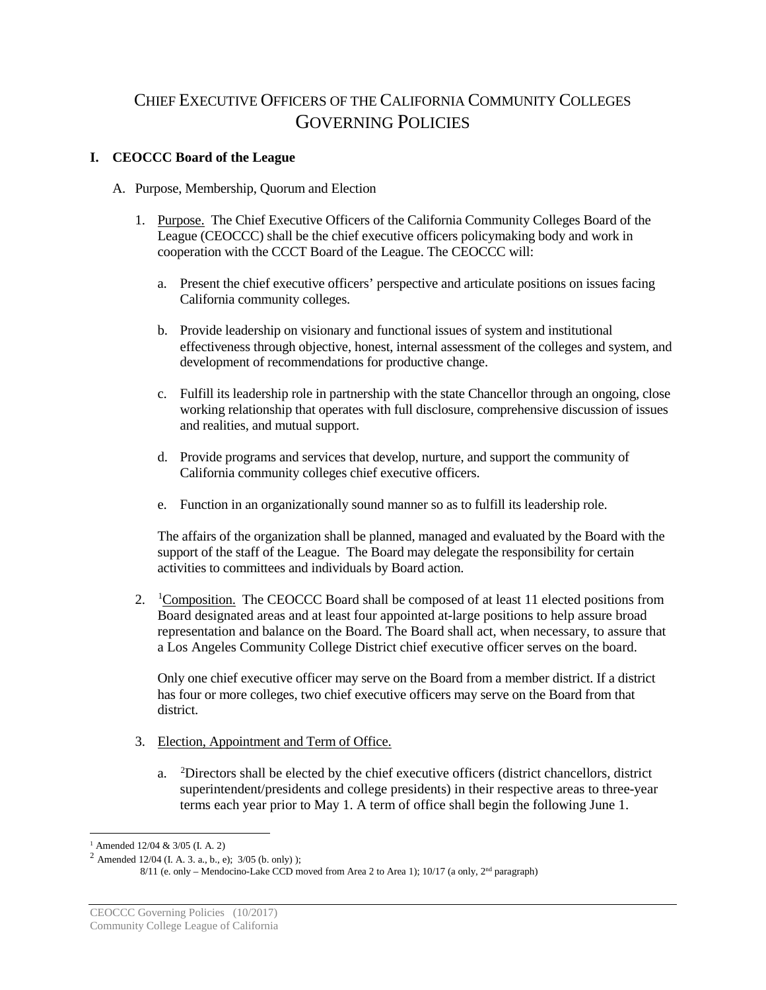# CHIEF EXECUTIVE OFFICERS OF THE CALIFORNIA COMMUNITY COLLEGES GOVERNING POLICIES

## **I. CEOCCC Board of the League**

- A. Purpose, Membership, Quorum and Election
	- 1. Purpose. The Chief Executive Officers of the California Community Colleges Board of the League (CEOCCC) shall be the chief executive officers policymaking body and work in cooperation with the CCCT Board of the League. The CEOCCC will:
		- a. Present the chief executive officers' perspective and articulate positions on issues facing California community colleges.
		- b. Provide leadership on visionary and functional issues of system and institutional effectiveness through objective, honest, internal assessment of the colleges and system, and development of recommendations for productive change.
		- c. Fulfill its leadership role in partnership with the state Chancellor through an ongoing, close working relationship that operates with full disclosure, comprehensive discussion of issues and realities, and mutual support.
		- d. Provide programs and services that develop, nurture, and support the community of California community colleges chief executive officers.
		- e. Function in an organizationally sound manner so as to fulfill its leadership role.

The affairs of the organization shall be planned, managed and evaluated by the Board with the support of the staff of the League. The Board may delegate the responsibility for certain activities to committees and individuals by Board action.

2. <sup>[1](#page-0-0)</sup>Composition. The CEOCCC Board shall be composed of at least 11 elected positions from Board designated areas and at least four appointed at-large positions to help assure broad representation and balance on the Board. The Board shall act, when necessary, to assure that a Los Angeles Community College District chief executive officer serves on the board.

Only one chief executive officer may serve on the Board from a member district. If a district has four or more colleges, two chief executive officers may serve on the Board from that district.

- 3. Election, Appointment and Term of Office.
	- a. <sup>[2](#page-0-1)</sup>Directors shall be elected by the chief executive officers (district chancellors, district superintendent/presidents and college presidents) in their respective areas to three-year terms each year prior to May 1. A term of office shall begin the following June 1.

<span id="page-0-0"></span><sup>&</sup>lt;sup>1</sup> Amended 12/04 & 3/05 (I. A. 2)

<span id="page-0-1"></span><sup>&</sup>lt;sup>2</sup> Amended 12/04 (I. A. 3. a., b., e);  $3/05$  (b. only) );

 $8/11$  (e. only – Mendocino-Lake CCD moved from Area 2 to Area 1); 10/17 (a only,  $2<sup>nd</sup>$  paragraph)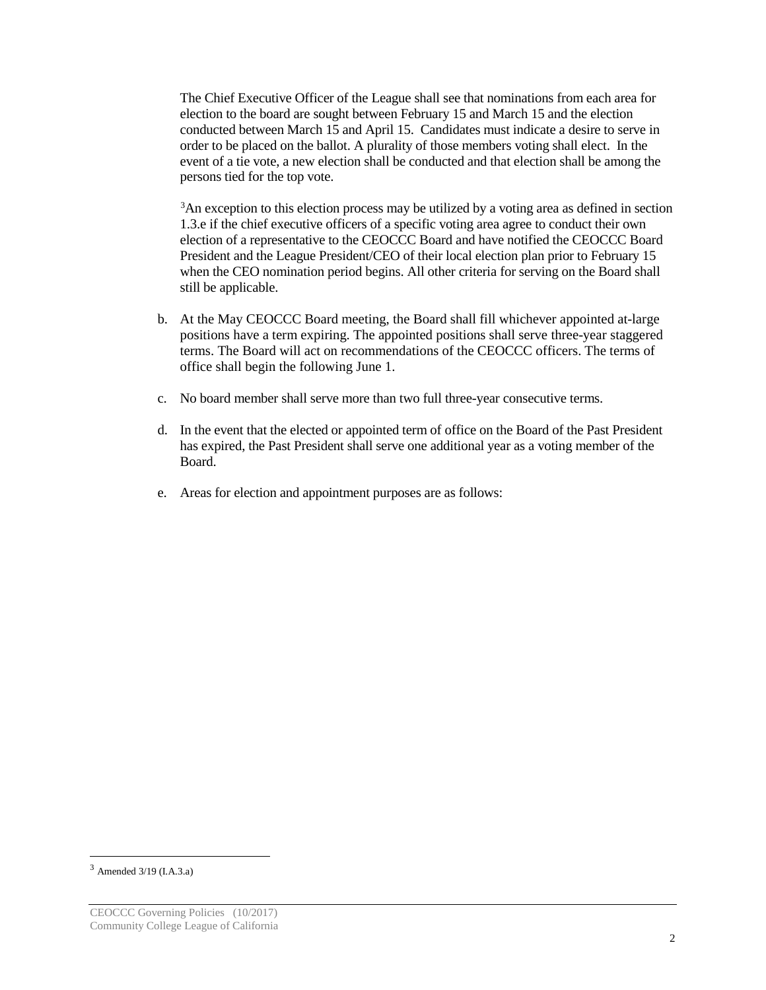The Chief Executive Officer of the League shall see that nominations from each area for election to the board are sought between February 15 and March 15 and the election conducted between March 15 and April 15. Candidates must indicate a desire to serve in order to be placed on the ballot. A plurality of those members voting shall elect. In the event of a tie vote, a new election shall be conducted and that election shall be among the persons tied for the top vote.

<sup>[3](#page-1-0)</sup>An exception to this election process may be utilized by a voting area as defined in section 1.3.e if the chief executive officers of a specific voting area agree to conduct their own election of a representative to the CEOCCC Board and have notified the CEOCCC Board President and the League President/CEO of their local election plan prior to February 15 when the CEO nomination period begins. All other criteria for serving on the Board shall still be applicable.

- b. At the May CEOCCC Board meeting, the Board shall fill whichever appointed at-large positions have a term expiring. The appointed positions shall serve three-year staggered terms. The Board will act on recommendations of the CEOCCC officers. The terms of office shall begin the following June 1.
- c. No board member shall serve more than two full three-year consecutive terms.
- d. In the event that the elected or appointed term of office on the Board of the Past President has expired, the Past President shall serve one additional year as a voting member of the Board.
- e. Areas for election and appointment purposes are as follows:

<span id="page-1-0"></span> $3$  Amended  $3/19$  (I.A.3.a)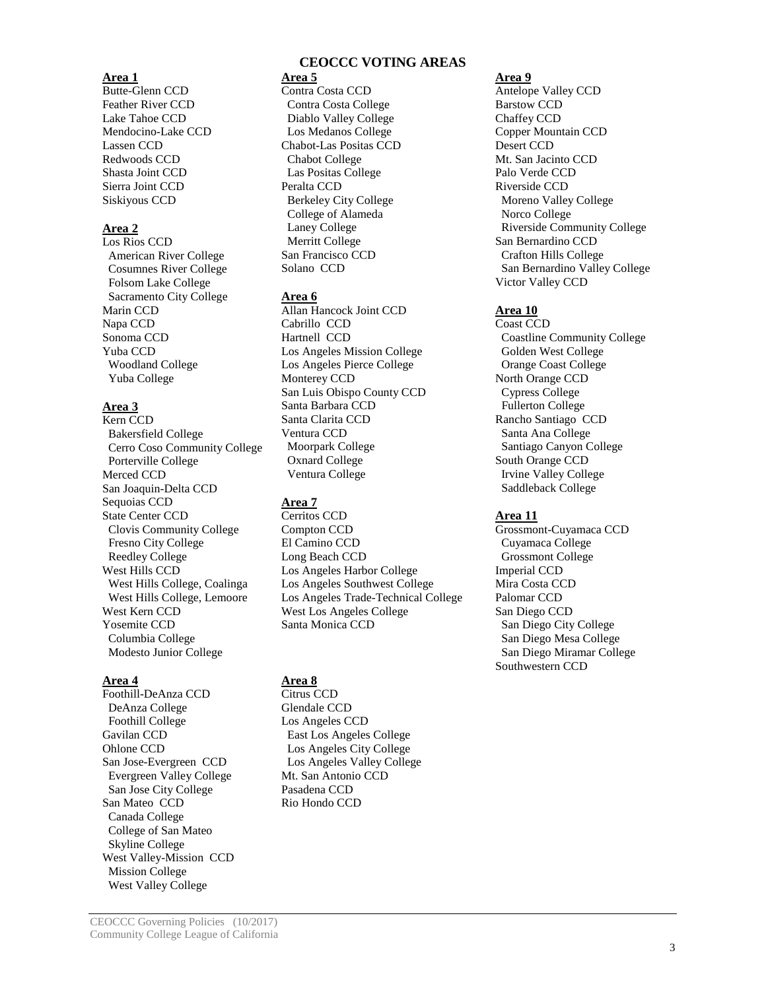Butte-Glenn CCD Feather River CCD Lake Tahoe CCD Mendocino-Lake CCD Lassen CCD Redwoods CCD Shasta Joint CCD Sierra Joint CCD Siskiyous CCD

#### **Area 2**

Los Rios CCD American River College Cosumnes River College Folsom Lake College Sacramento City College Marin CCD Napa CCD Sonoma CCD Yuba CCD Woodland College Yuba College

#### **Area 3**

Kern CCD Bakersfield College Cerro Coso Community College Porterville College Merced CCD San Joaquin-Delta CCD Sequoias CCD State Center CCD Clovis Community College Fresno City College Reedley College West Hills CCD West Hills College, Coalinga West Hills College, Lemoore West Kern CCD Yosemite CCD Columbia College Modesto Junior College

Foothill-DeAnza CCD DeAnza College Foothill College Gavilan CCD Ohlone CCD San Jose-Evergreen CCD Evergreen Valley College San Jose City College San Mateo CCD Canada College College of San Mateo Skyline College West Valley-Mission CCD Mission College West Valley College

## **CEOCCC VOTING AREAS**

## **Area 1 Area 5 Area 9**

Contra Costa CCD Contra Costa College Diablo Valley College Los Medanos College Chabot-Las Positas CCD Chabot College Las Positas College Peralta CCD Berkeley City College College of Alameda Laney College Merritt College San Francisco CCD Solano CCD

#### **Area 6**

Allan Hancock Joint CCD Cabrillo CCD Hartnell CCD Los Angeles Mission College Los Angeles Pierce College Monterey CCD San Luis Obispo County CCD Santa Barbara CCD Santa Clarita CCD Ventura CCD Moorpark College Oxnard College Ventura College

## **Area 7**

Cerritos CCD Compton CCD El Camino CCD Long Beach CCD Los Angeles Harbor College Los Angeles Southwest College Los Angeles Trade-Technical College West Los Angeles College Santa Monica CCD

**Area 4 Area 8**

Citrus CCD Glendale CCD Los Angeles CCD East Los Angeles College Los Angeles City College Los Angeles Valley College Mt. San Antonio CCD Pasadena CCD Rio Hondo CCD

Antelope Valley CCD Barstow CCD Chaffey CCD Copper Mountain CCD Desert CCD Mt. San Jacinto CCD Palo Verde CCD Riverside CCD Moreno Valley College Norco College Riverside Community College San Bernardino CCD Crafton Hills College San Bernardino Valley College Victor Valley CCD

#### **Area 10**

Coast CCD Coastline Community College Golden West College Orange Coast College North Orange CCD Cypress College Fullerton College Rancho Santiago CCD Santa Ana College Santiago Canyon College South Orange CCD Irvine Valley College Saddleback College

#### **Area 11**

Grossmont-Cuyamaca CCD Cuyamaca College Grossmont College Imperial CCD Mira Costa CCD Palomar CCD San Diego CCD San Diego City College San Diego Mesa College San Diego Miramar College Southwestern CCD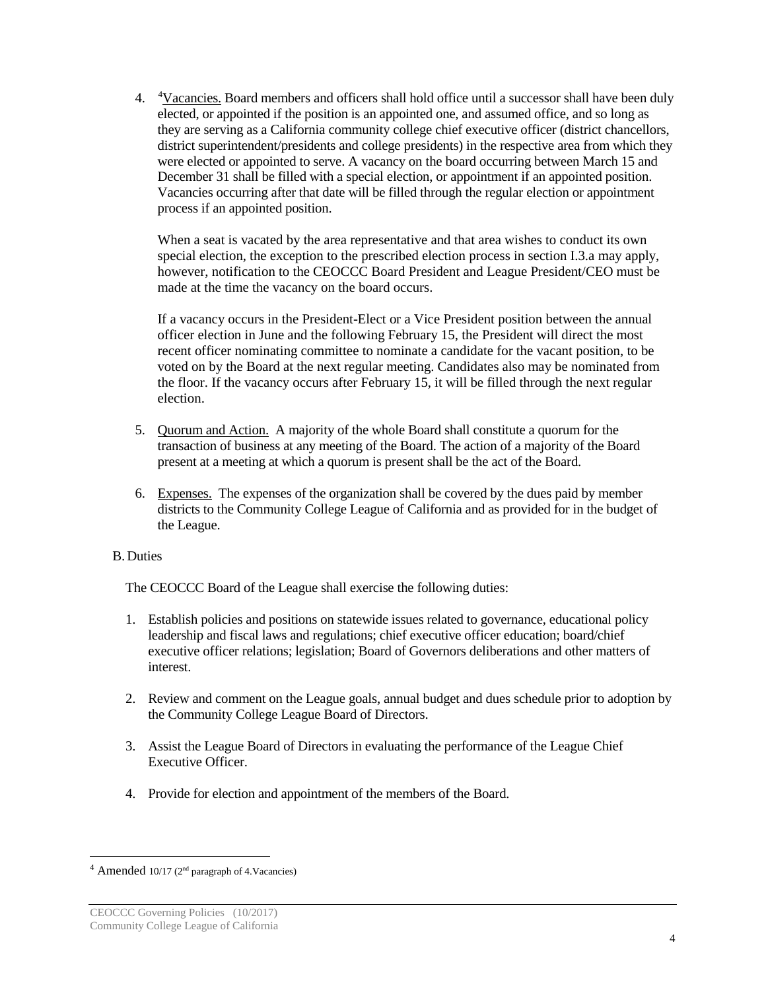[4](#page-3-0). <sup>4</sup>Vacancies. Board members and officers shall hold office until a successor shall have been duly elected, or appointed if the position is an appointed one, and assumed office, and so long as they are serving as a California community college chief executive officer (district chancellors, district superintendent/presidents and college presidents) in the respective area from which they were elected or appointed to serve. A vacancy on the board occurring between March 15 and December 31 shall be filled with a special election, or appointment if an appointed position. Vacancies occurring after that date will be filled through the regular election or appointment process if an appointed position.

When a seat is vacated by the area representative and that area wishes to conduct its own special election, the exception to the prescribed election process in section I.3.a may apply, however, notification to the CEOCCC Board President and League President/CEO must be made at the time the vacancy on the board occurs.

If a vacancy occurs in the President-Elect or a Vice President position between the annual officer election in June and the following February 15, the President will direct the most recent officer nominating committee to nominate a candidate for the vacant position, to be voted on by the Board at the next regular meeting. Candidates also may be nominated from the floor. If the vacancy occurs after February 15, it will be filled through the next regular election.

- 5. Quorum and Action. A majority of the whole Board shall constitute a quorum for the transaction of business at any meeting of the Board. The action of a majority of the Board present at a meeting at which a quorum is present shall be the act of the Board.
- 6. Expenses. The expenses of the organization shall be covered by the dues paid by member districts to the Community College League of California and as provided for in the budget of the League.

## B.Duties

The CEOCCC Board of the League shall exercise the following duties:

- 1. Establish policies and positions on statewide issues related to governance, educational policy leadership and fiscal laws and regulations; chief executive officer education; board/chief executive officer relations; legislation; Board of Governors deliberations and other matters of interest.
- 2. Review and comment on the League goals, annual budget and dues schedule prior to adoption by the Community College League Board of Directors.
- 3. Assist the League Board of Directors in evaluating the performance of the League Chief Executive Officer.
- 4. Provide for election and appointment of the members of the Board.

<span id="page-3-0"></span> $4$  Amended 10/17 ( $2<sup>nd</sup>$  paragraph of 4. Vacancies)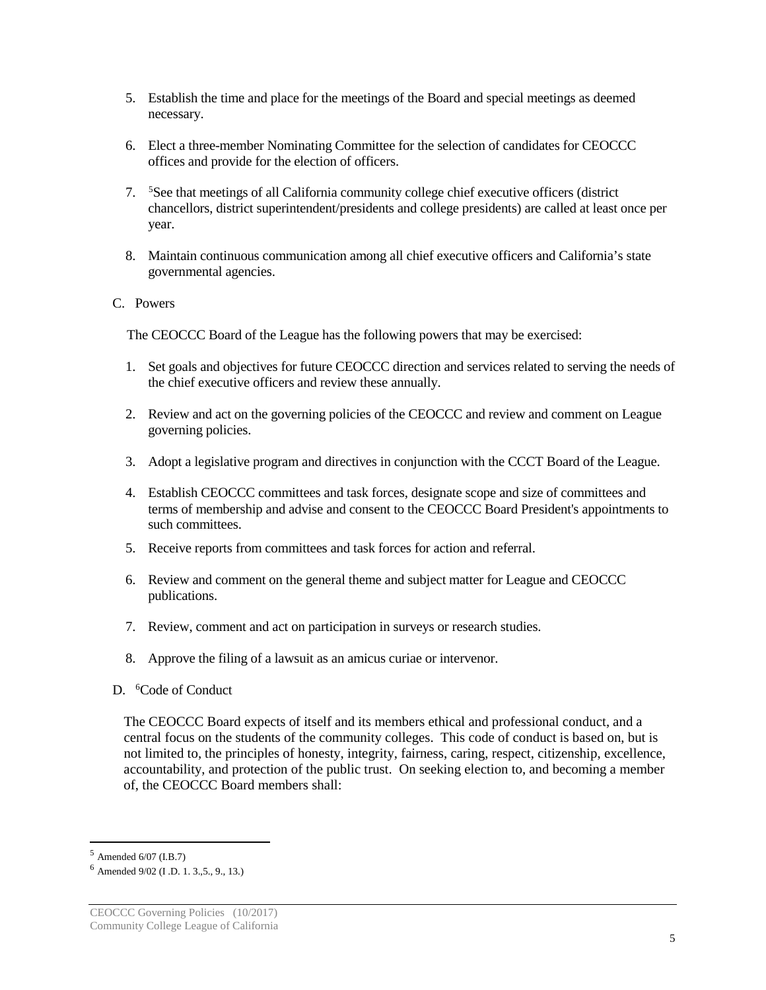- 5. Establish the time and place for the meetings of the Board and special meetings as deemed necessary.
- 6. Elect a three-member Nominating Committee for the selection of candidates for CEOCCC offices and provide for the election of officers.
- 7. [5](#page-4-0) See that meetings of all California community college chief executive officers (district chancellors, district superintendent/presidents and college presidents) are called at least once per year.
- 8. Maintain continuous communication among all chief executive officers and California's state governmental agencies.
- C. Powers

The CEOCCC Board of the League has the following powers that may be exercised:

- 1. Set goals and objectives for future CEOCCC direction and services related to serving the needs of the chief executive officers and review these annually.
- 2. Review and act on the governing policies of the CEOCCC and review and comment on League governing policies.
- 3. Adopt a legislative program and directives in conjunction with the CCCT Board of the League.
- 4. Establish CEOCCC committees and task forces, designate scope and size of committees and terms of membership and advise and consent to the CEOCCC Board President's appointments to such committees.
- 5. Receive reports from committees and task forces for action and referral.
- 6. Review and comment on the general theme and subject matter for League and CEOCCC publications.
- 7. Review, comment and act on participation in surveys or research studies.
- 8. Approve the filing of a lawsuit as an amicus curiae or intervenor.
- D. <sup>[6](#page-4-1)</sup>Code of Conduct

The CEOCCC Board expects of itself and its members ethical and professional conduct, and a central focus on the students of the community colleges. This code of conduct is based on, but is not limited to, the principles of honesty, integrity, fairness, caring, respect, citizenship, excellence, accountability, and protection of the public trust. On seeking election to, and becoming a member of, the CEOCCC Board members shall:

<span id="page-4-0"></span> <sup>5</sup> Amended 6/07 (I.B.7)

<span id="page-4-1"></span> $6$  Amended 9/02 (I.D. 1, 3., 5, 9, 13.)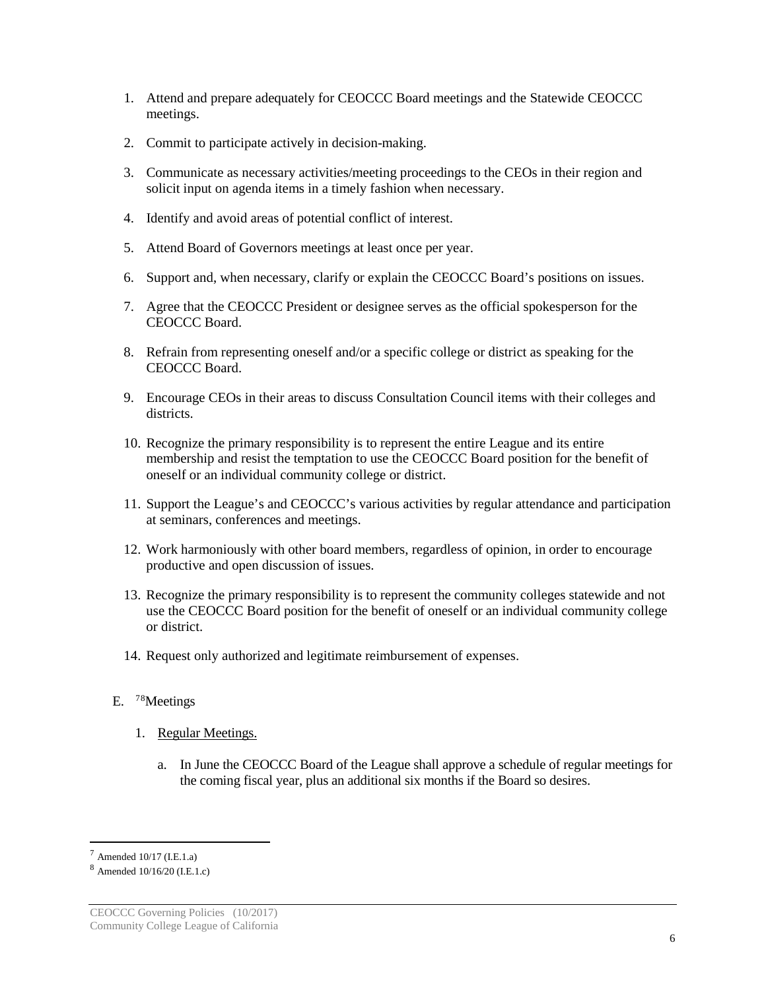- 1. Attend and prepare adequately for CEOCCC Board meetings and the Statewide CEOCCC meetings.
- 2. Commit to participate actively in decision-making.
- 3. Communicate as necessary activities/meeting proceedings to the CEOs in their region and solicit input on agenda items in a timely fashion when necessary.
- 4. Identify and avoid areas of potential conflict of interest.
- 5. Attend Board of Governors meetings at least once per year.
- 6. Support and, when necessary, clarify or explain the CEOCCC Board's positions on issues.
- 7. Agree that the CEOCCC President or designee serves as the official spokesperson for the CEOCCC Board.
- 8. Refrain from representing oneself and/or a specific college or district as speaking for the CEOCCC Board.
- 9. Encourage CEOs in their areas to discuss Consultation Council items with their colleges and districts.
- 10. Recognize the primary responsibility is to represent the entire League and its entire membership and resist the temptation to use the CEOCCC Board position for the benefit of oneself or an individual community college or district.
- 11. Support the League's and CEOCCC's various activities by regular attendance and participation at seminars, conferences and meetings.
- 12. Work harmoniously with other board members, regardless of opinion, in order to encourage productive and open discussion of issues.
- 13. Recognize the primary responsibility is to represent the community colleges statewide and not use the CEOCCC Board position for the benefit of oneself or an individual community college or district.
- 14. Request only authorized and legitimate reimbursement of expenses.
- E. <sup>[7](#page-5-0)[8](#page-5-1)</sup>Meetings
	- 1. Regular Meetings.
		- a. In June the CEOCCC Board of the League shall approve a schedule of regular meetings for the coming fiscal year, plus an additional six months if the Board so desires.

<span id="page-5-0"></span> $^7$  Amended 10/17 (I.E.1.a)

<span id="page-5-1"></span><sup>8</sup> Amended 10/16/20 (I.E.1.c)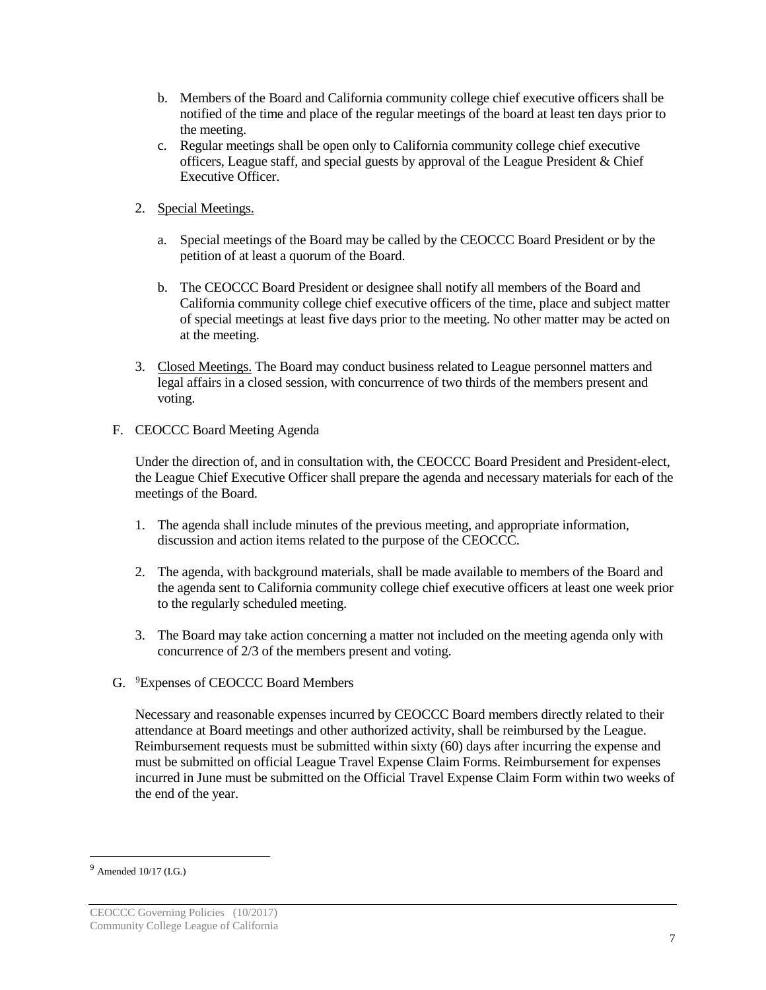- b. Members of the Board and California community college chief executive officers shall be notified of the time and place of the regular meetings of the board at least ten days prior to the meeting.
- c. Regular meetings shall be open only to California community college chief executive officers, League staff, and special guests by approval of the League President & Chief Executive Officer.
- 2. Special Meetings.
	- a. Special meetings of the Board may be called by the CEOCCC Board President or by the petition of at least a quorum of the Board.
	- b. The CEOCCC Board President or designee shall notify all members of the Board and California community college chief executive officers of the time, place and subject matter of special meetings at least five days prior to the meeting. No other matter may be acted on at the meeting.
- 3. Closed Meetings. The Board may conduct business related to League personnel matters and legal affairs in a closed session, with concurrence of two thirds of the members present and voting.
- F. CEOCCC Board Meeting Agenda

Under the direction of, and in consultation with, the CEOCCC Board President and President-elect, the League Chief Executive Officer shall prepare the agenda and necessary materials for each of the meetings of the Board.

- 1. The agenda shall include minutes of the previous meeting, and appropriate information, discussion and action items related to the purpose of the CEOCCC.
- 2. The agenda, with background materials, shall be made available to members of the Board and the agenda sent to California community college chief executive officers at least one week prior to the regularly scheduled meeting.
- 3. The Board may take action concerning a matter not included on the meeting agenda only with concurrence of 2/3 of the members present and voting.
- G. [9](#page-6-0) Expenses of CEOCCC Board Members

Necessary and reasonable expenses incurred by CEOCCC Board members directly related to their attendance at Board meetings and other authorized activity, shall be reimbursed by the League. Reimbursement requests must be submitted within sixty (60) days after incurring the expense and must be submitted on official League Travel Expense Claim Forms. Reimbursement for expenses incurred in June must be submitted on the Official Travel Expense Claim Form within two weeks of the end of the year.

<span id="page-6-0"></span> $^{9}$  Amended 10/17 (I.G.)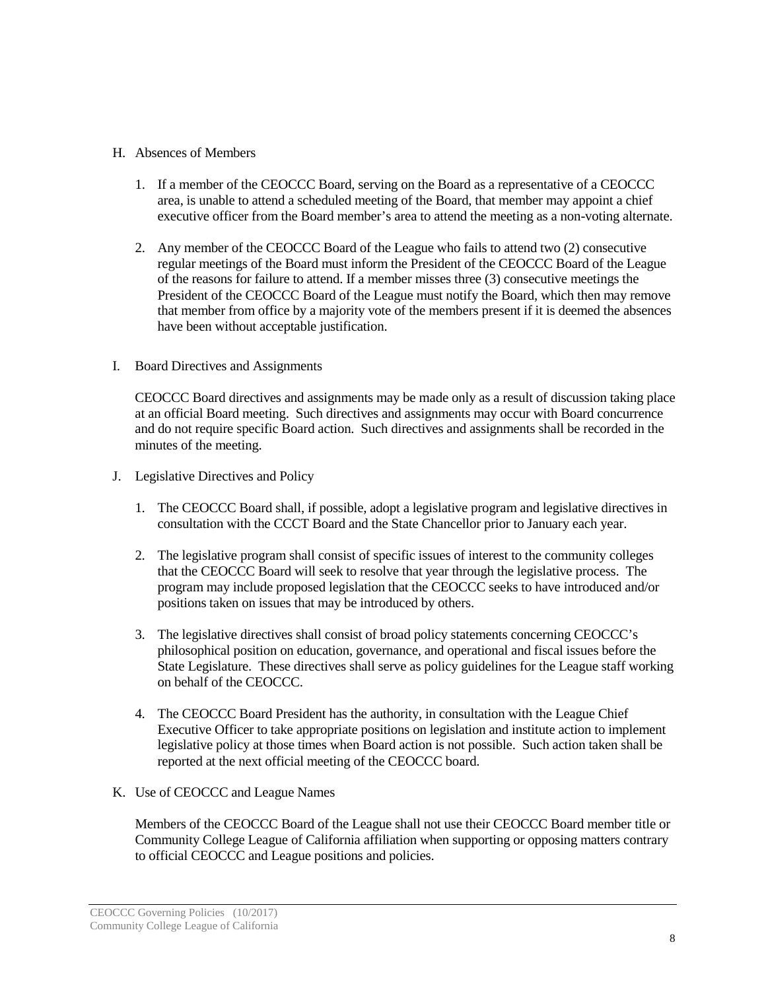## H. Absences of Members

- 1. If a member of the CEOCCC Board, serving on the Board as a representative of a CEOCCC area, is unable to attend a scheduled meeting of the Board, that member may appoint a chief executive officer from the Board member's area to attend the meeting as a non-voting alternate.
- 2. Any member of the CEOCCC Board of the League who fails to attend two (2) consecutive regular meetings of the Board must inform the President of the CEOCCC Board of the League of the reasons for failure to attend. If a member misses three (3) consecutive meetings the President of the CEOCCC Board of the League must notify the Board, which then may remove that member from office by a majority vote of the members present if it is deemed the absences have been without acceptable justification.
- I. Board Directives and Assignments

CEOCCC Board directives and assignments may be made only as a result of discussion taking place at an official Board meeting. Such directives and assignments may occur with Board concurrence and do not require specific Board action. Such directives and assignments shall be recorded in the minutes of the meeting.

- J. Legislative Directives and Policy
	- 1. The CEOCCC Board shall, if possible, adopt a legislative program and legislative directives in consultation with the CCCT Board and the State Chancellor prior to January each year.
	- 2. The legislative program shall consist of specific issues of interest to the community colleges that the CEOCCC Board will seek to resolve that year through the legislative process. The program may include proposed legislation that the CEOCCC seeks to have introduced and/or positions taken on issues that may be introduced by others.
	- 3. The legislative directives shall consist of broad policy statements concerning CEOCCC's philosophical position on education, governance, and operational and fiscal issues before the State Legislature. These directives shall serve as policy guidelines for the League staff working on behalf of the CEOCCC.
	- 4. The CEOCCC Board President has the authority, in consultation with the League Chief Executive Officer to take appropriate positions on legislation and institute action to implement legislative policy at those times when Board action is not possible. Such action taken shall be reported at the next official meeting of the CEOCCC board.
- K. Use of CEOCCC and League Names

Members of the CEOCCC Board of the League shall not use their CEOCCC Board member title or Community College League of California affiliation when supporting or opposing matters contrary to official CEOCCC and League positions and policies.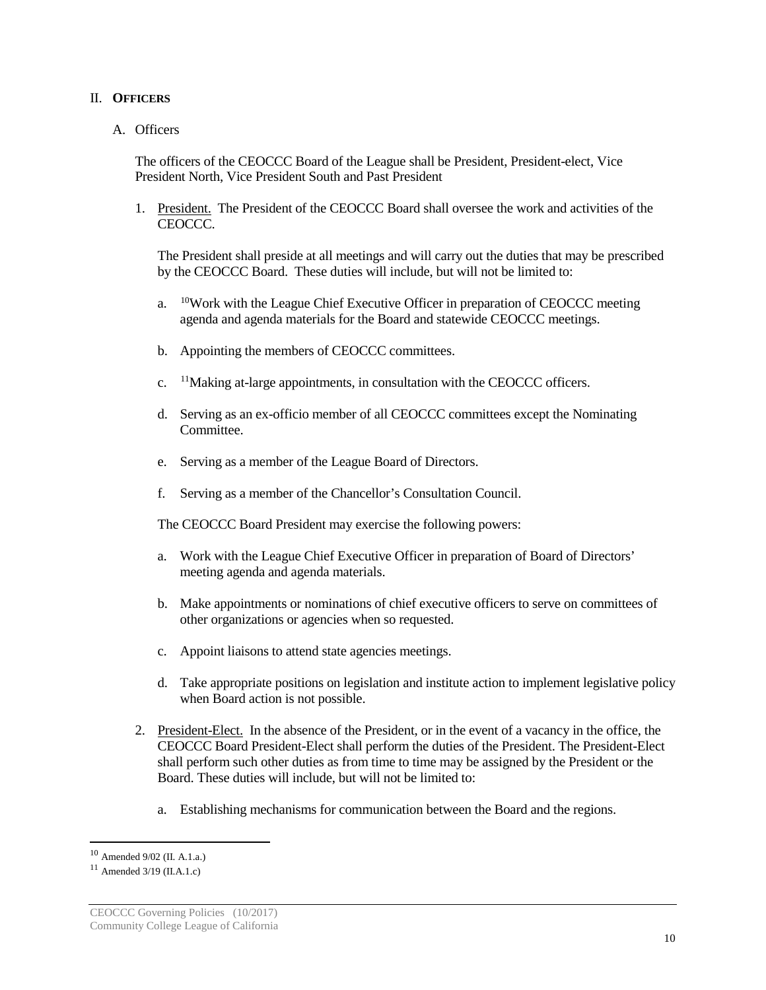### II. **OFFICERS**

### A. Officers

The officers of the CEOCCC Board of the League shall be President, President-elect, Vice President North, Vice President South and Past President

1. President. The President of the CEOCCC Board shall oversee the work and activities of the CEOCCC.

The President shall preside at all meetings and will carry out the duties that may be prescribed by the CEOCCC Board. These duties will include, but will not be limited to:

- a. [10](#page-9-0)Work with the League Chief Executive Officer in preparation of CEOCCC meeting agenda and agenda materials for the Board and statewide CEOCCC meetings.
- b. Appointing the members of CEOCCC committees.
- c. [11](#page-9-1)Making at-large appointments, in consultation with the CEOCCC officers.
- d. Serving as an ex-officio member of all CEOCCC committees except the Nominating Committee.
- e. Serving as a member of the League Board of Directors.
- f. Serving as a member of the Chancellor's Consultation Council.

The CEOCCC Board President may exercise the following powers:

- a. Work with the League Chief Executive Officer in preparation of Board of Directors' meeting agenda and agenda materials.
- b. Make appointments or nominations of chief executive officers to serve on committees of other organizations or agencies when so requested.
- c. Appoint liaisons to attend state agencies meetings.
- d. Take appropriate positions on legislation and institute action to implement legislative policy when Board action is not possible.
- 2. President-Elect. In the absence of the President, or in the event of a vacancy in the office, the CEOCCC Board President-Elect shall perform the duties of the President. The President-Elect shall perform such other duties as from time to time may be assigned by the President or the Board. These duties will include, but will not be limited to:
	- a. Establishing mechanisms for communication between the Board and the regions.

<span id="page-9-0"></span> <sup>10</sup> Amended 9/02 (II. A.1.a.)

<span id="page-9-1"></span> $11$  Amended 3/19 (II.A.1.c)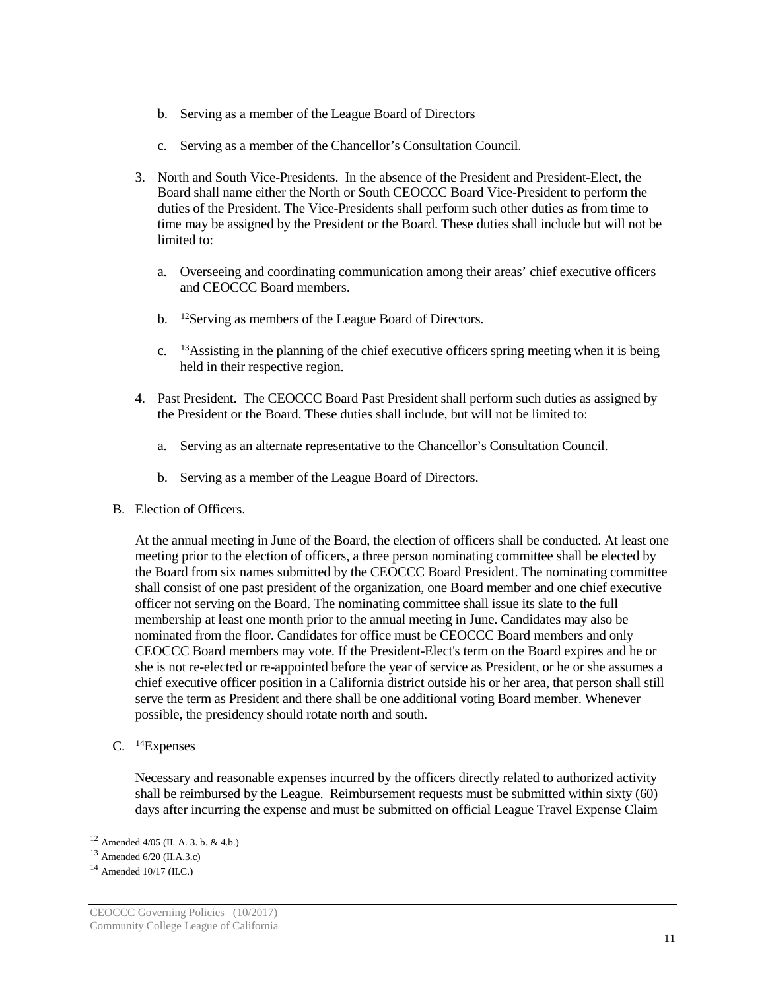- b. Serving as a member of the League Board of Directors
- c. Serving as a member of the Chancellor's Consultation Council.
- 3. North and South Vice-Presidents. In the absence of the President and President-Elect, the Board shall name either the North or South CEOCCC Board Vice-President to perform the duties of the President. The Vice-Presidents shall perform such other duties as from time to time may be assigned by the President or the Board. These duties shall include but will not be limited to:
	- a. Overseeing and coordinating communication among their areas' chief executive officers and CEOCCC Board members.
	- b. <sup>[12](#page-10-0)</sup>Serving as members of the League Board of Directors.
	- c. [13](#page-10-1)Assisting in the planning of the chief executive officers spring meeting when it is being held in their respective region.
- 4. Past President. The CEOCCC Board Past President shall perform such duties as assigned by the President or the Board. These duties shall include, but will not be limited to:
	- a. Serving as an alternate representative to the Chancellor's Consultation Council.
	- b. Serving as a member of the League Board of Directors.
- B. Election of Officers.

At the annual meeting in June of the Board, the election of officers shall be conducted. At least one meeting prior to the election of officers, a three person nominating committee shall be elected by the Board from six names submitted by the CEOCCC Board President. The nominating committee shall consist of one past president of the organization, one Board member and one chief executive officer not serving on the Board. The nominating committee shall issue its slate to the full membership at least one month prior to the annual meeting in June. Candidates may also be nominated from the floor. Candidates for office must be CEOCCC Board members and only CEOCCC Board members may vote. If the President-Elect's term on the Board expires and he or she is not re-elected or re-appointed before the year of service as President, or he or she assumes a chief executive officer position in a California district outside his or her area, that person shall still serve the term as President and there shall be one additional voting Board member. Whenever possible, the presidency should rotate north and south.

C. [14](#page-10-2)Expenses

Necessary and reasonable expenses incurred by the officers directly related to authorized activity shall be reimbursed by the League. Reimbursement requests must be submitted within sixty (60) days after incurring the expense and must be submitted on official League Travel Expense Claim

<span id="page-10-0"></span> <sup>12</sup> Amended 4/05 (II. A. 3. b. & 4.b.)

<span id="page-10-1"></span><sup>13</sup> Amended 6/20 (II.A.3.c)

<span id="page-10-2"></span> $14$  Amended 10/17 (II.C.)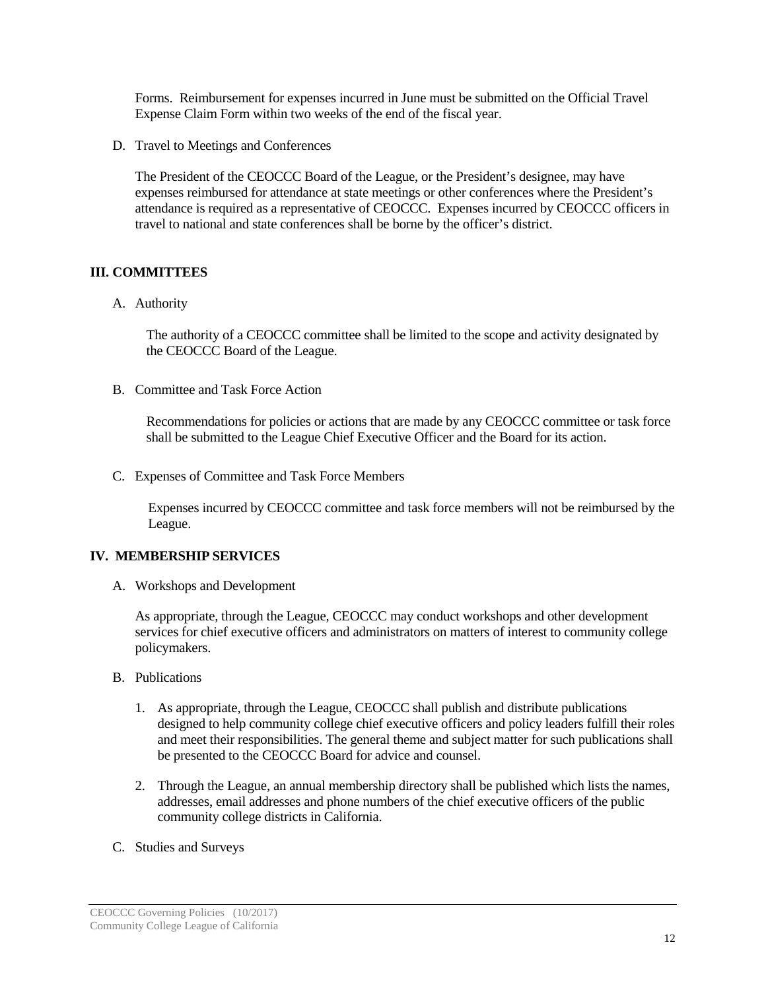Forms. Reimbursement for expenses incurred in June must be submitted on the Official Travel Expense Claim Form within two weeks of the end of the fiscal year.

D. Travel to Meetings and Conferences

The President of the CEOCCC Board of the League, or the President's designee, may have expenses reimbursed for attendance at state meetings or other conferences where the President's attendance is required as a representative of CEOCCC. Expenses incurred by CEOCCC officers in travel to national and state conferences shall be borne by the officer's district.

## **III. COMMITTEES**

A. Authority

The authority of a CEOCCC committee shall be limited to the scope and activity designated by the CEOCCC Board of the League.

B. Committee and Task Force Action

Recommendations for policies or actions that are made by any CEOCCC committee or task force shall be submitted to the League Chief Executive Officer and the Board for its action.

C. Expenses of Committee and Task Force Members

Expenses incurred by CEOCCC committee and task force members will not be reimbursed by the League.

## **IV. MEMBERSHIP SERVICES**

A. Workshops and Development

As appropriate, through the League, CEOCCC may conduct workshops and other development services for chief executive officers and administrators on matters of interest to community college policymakers.

- B. Publications
	- 1. As appropriate, through the League, CEOCCC shall publish and distribute publications designed to help community college chief executive officers and policy leaders fulfill their roles and meet their responsibilities. The general theme and subject matter for such publications shall be presented to the CEOCCC Board for advice and counsel.
	- 2. Through the League, an annual membership directory shall be published which lists the names, addresses, email addresses and phone numbers of the chief executive officers of the public community college districts in California.
- C. Studies and Surveys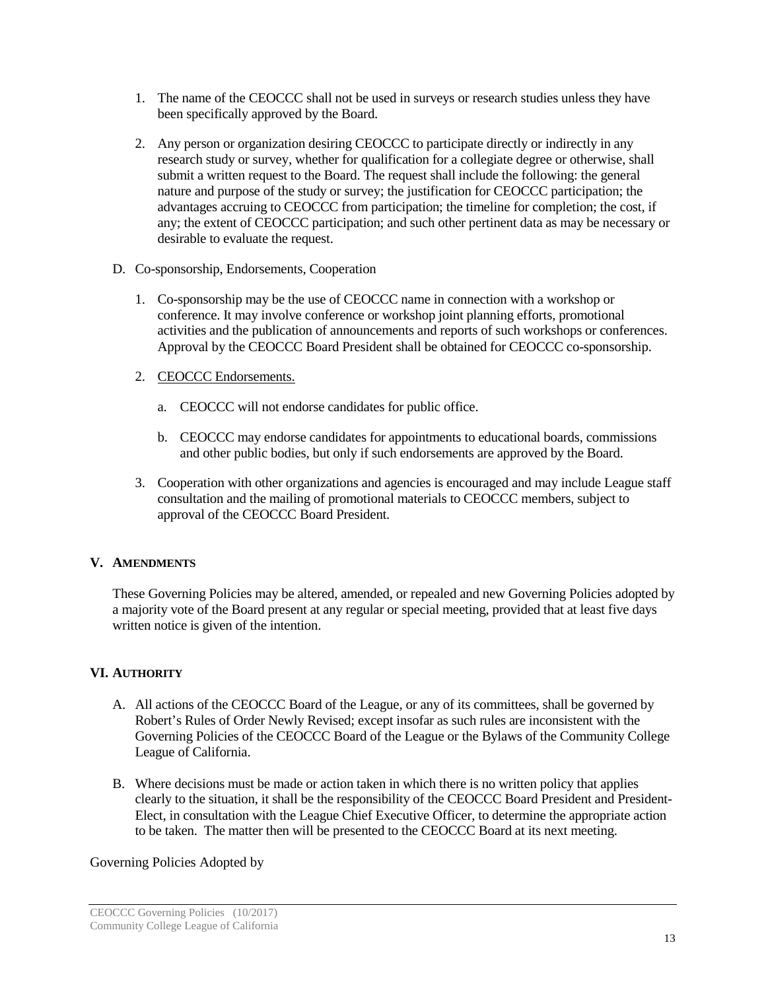- 1. The name of the CEOCCC shall not be used in surveys or research studies unless they have been specifically approved by the Board.
- 2. Any person or organization desiring CEOCCC to participate directly or indirectly in any research study or survey, whether for qualification for a collegiate degree or otherwise, shall submit a written request to the Board. The request shall include the following: the general nature and purpose of the study or survey; the justification for CEOCCC participation; the advantages accruing to CEOCCC from participation; the timeline for completion; the cost, if any; the extent of CEOCCC participation; and such other pertinent data as may be necessary or desirable to evaluate the request.
- D. Co-sponsorship, Endorsements, Cooperation
	- 1. Co-sponsorship may be the use of CEOCCC name in connection with a workshop or conference. It may involve conference or workshop joint planning efforts, promotional activities and the publication of announcements and reports of such workshops or conferences. Approval by the CEOCCC Board President shall be obtained for CEOCCC co-sponsorship.
	- 2. CEOCCC Endorsements.
		- a. CEOCCC will not endorse candidates for public office.
		- b. CEOCCC may endorse candidates for appointments to educational boards, commissions and other public bodies, but only if such endorsements are approved by the Board.
	- 3. Cooperation with other organizations and agencies is encouraged and may include League staff consultation and the mailing of promotional materials to CEOCCC members, subject to approval of the CEOCCC Board President.

## **V. AMENDMENTS**

These Governing Policies may be altered, amended, or repealed and new Governing Policies adopted by a majority vote of the Board present at any regular or special meeting, provided that at least five days written notice is given of the intention.

## **VI. AUTHORITY**

- A. All actions of the CEOCCC Board of the League, or any of its committees, shall be governed by Robert's Rules of Order Newly Revised; except insofar as such rules are inconsistent with the Governing Policies of the CEOCCC Board of the League or the Bylaws of the Community College League of California.
- B. Where decisions must be made or action taken in which there is no written policy that applies clearly to the situation, it shall be the responsibility of the CEOCCC Board President and President-Elect, in consultation with the League Chief Executive Officer, to determine the appropriate action to be taken. The matter then will be presented to the CEOCCC Board at its next meeting.

## Governing Policies Adopted by